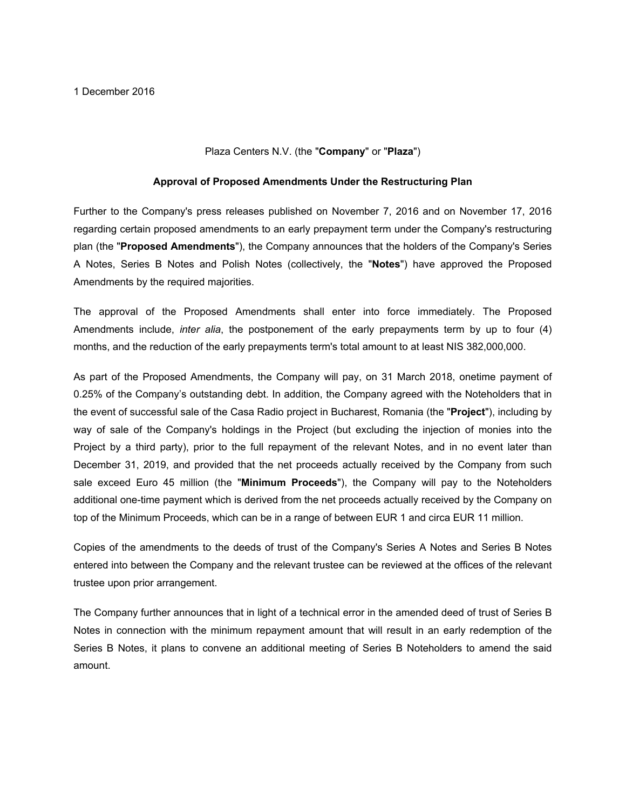## Plaza Centers N.V. (the "**Company**" or "**Plaza**")

## **Approval of Proposed Amendments Under the Restructuring Plan**

Further to the Company's press releases published on November 7, 2016 and on November 17, 2016 regarding certain proposed amendments to an early prepayment term under the Company's restructuring plan (the "**Proposed Amendments**"), the Company announces that the holders of the Company's Series A Notes, Series B Notes and Polish Notes (collectively, the "**Notes**") have approved the Proposed Amendments by the required majorities.

The approval of the Proposed Amendments shall enter into force immediately. The Proposed Amendments include, *inter alia*, the postponement of the early prepayments term by up to four (4) months, and the reduction of the early prepayments term's total amount to at least NIS 382,000,000.

As part of the Proposed Amendments, the Company will pay, on 31 March 2018, onetime payment of 0.25% of the Company's outstanding debt. In addition, the Company agreed with the Noteholders that in the event of successful sale of the Casa Radio project in Bucharest, Romania (the "**Project**"), including by way of sale of the Company's holdings in the Project (but excluding the injection of monies into the Project by a third party), prior to the full repayment of the relevant Notes, and in no event later than December 31, 2019, and provided that the net proceeds actually received by the Company from such sale exceed Euro 45 million (the "**Minimum Proceeds**"), the Company will pay to the Noteholders additional one-time payment which is derived from the net proceeds actually received by the Company on top of the Minimum Proceeds, which can be in a range of between EUR 1 and circa EUR 11 million.

Copies of the amendments to the deeds of trust of the Company's Series A Notes and Series B Notes entered into between the Company and the relevant trustee can be reviewed at the offices of the relevant trustee upon prior arrangement.

The Company further announces that in light of a technical error in the amended deed of trust of Series B Notes in connection with the minimum repayment amount that will result in an early redemption of the Series B Notes, it plans to convene an additional meeting of Series B Noteholders to amend the said amount.